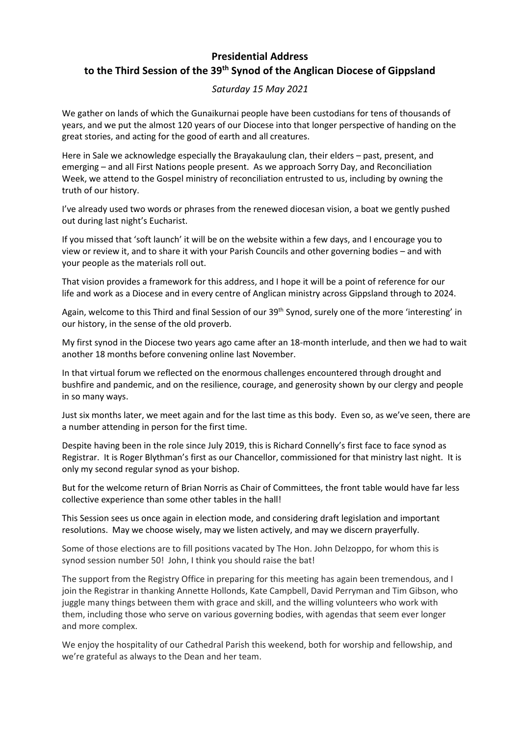## **Presidential Address to the Third Session of the 39th Synod of the Anglican Diocese of Gippsland**

## *Saturday 15 May 2021*

We gather on lands of which the Gunaikurnai people have been custodians for tens of thousands of years, and we put the almost 120 years of our Diocese into that longer perspective of handing on the great stories, and acting for the good of earth and all creatures.

Here in Sale we acknowledge especially the Brayakaulung clan, their elders – past, present, and emerging – and all First Nations people present. As we approach Sorry Day, and Reconciliation Week, we attend to the Gospel ministry of reconciliation entrusted to us, including by owning the truth of our history.

I've already used two words or phrases from the renewed diocesan vision, a boat we gently pushed out during last night's Eucharist.

If you missed that 'soft launch' it will be on the website within a few days, and I encourage you to view or review it, and to share it with your Parish Councils and other governing bodies – and with your people as the materials roll out.

That vision provides a framework for this address, and I hope it will be a point of reference for our life and work as a Diocese and in every centre of Anglican ministry across Gippsland through to 2024.

Again, welcome to this Third and final Session of our 39<sup>th</sup> Synod, surely one of the more 'interesting' in our history, in the sense of the old proverb.

My first synod in the Diocese two years ago came after an 18-month interlude, and then we had to wait another 18 months before convening online last November.

In that virtual forum we reflected on the enormous challenges encountered through drought and bushfire and pandemic, and on the resilience, courage, and generosity shown by our clergy and people in so many ways.

Just six months later, we meet again and for the last time as this body. Even so, as we've seen, there are a number attending in person for the first time.

Despite having been in the role since July 2019, this is Richard Connelly's first face to face synod as Registrar. It is Roger Blythman's first as our Chancellor, commissioned for that ministry last night. It is only my second regular synod as your bishop.

But for the welcome return of Brian Norris as Chair of Committees, the front table would have far less collective experience than some other tables in the hall!

This Session sees us once again in election mode, and considering draft legislation and important resolutions. May we choose wisely, may we listen actively, and may we discern prayerfully.

Some of those elections are to fill positions vacated by The Hon. John Delzoppo, for whom this is synod session number 50! John, I think you should raise the bat!

The support from the Registry Office in preparing for this meeting has again been tremendous, and I join the Registrar in thanking Annette Hollonds, Kate Campbell, David Perryman and Tim Gibson, who juggle many things between them with grace and skill, and the willing volunteers who work with them, including those who serve on various governing bodies, with agendas that seem ever longer and more complex.

We enjoy the hospitality of our Cathedral Parish this weekend, both for worship and fellowship, and we're grateful as always to the Dean and her team.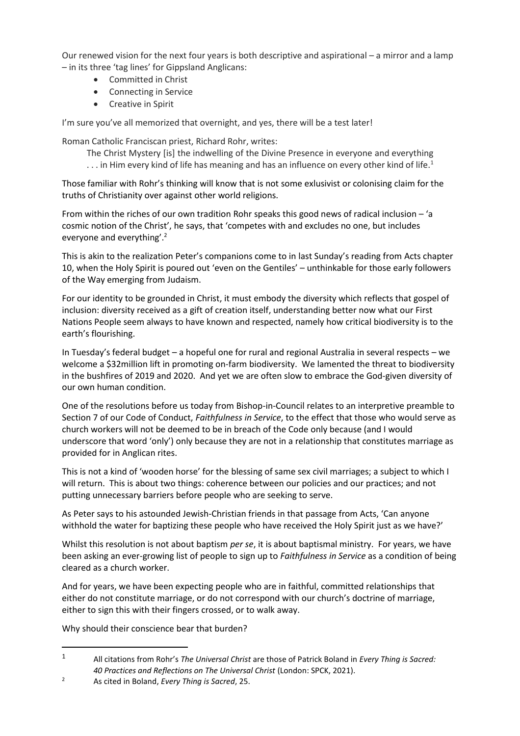Our renewed vision for the next four years is both descriptive and aspirational – a mirror and a lamp – in its three 'tag lines' for Gippsland Anglicans:

- Committed in Christ
- Connecting in Service
- Creative in Spirit

I'm sure you've all memorized that overnight, and yes, there will be a test later!

Roman Catholic Franciscan priest, Richard Rohr, writes:

The Christ Mystery [is] the indwelling of the Divine Presence in everyone and everything

 $\dots$  in Him every kind of life has meaning and has an influence on every other kind of life.<sup>1</sup>

Those familiar with Rohr's thinking will know that is not some exlusivist or colonising claim for the truths of Christianity over against other world religions.

From within the riches of our own tradition Rohr speaks this good news of radical inclusion – 'a cosmic notion of the Christ', he says, that 'competes with and excludes no one, but includes everyone and everything'.<sup>2</sup>

This is akin to the realization Peter's companions come to in last Sunday's reading from Acts chapter 10, when the Holy Spirit is poured out 'even on the Gentiles' – unthinkable for those early followers of the Way emerging from Judaism.

For our identity to be grounded in Christ, it must embody the diversity which reflects that gospel of inclusion: diversity received as a gift of creation itself, understanding better now what our First Nations People seem always to have known and respected, namely how critical biodiversity is to the earth's flourishing.

In Tuesday's federal budget – a hopeful one for rural and regional Australia in several respects – we welcome a \$32million lift in promoting on-farm biodiversity. We lamented the threat to biodiversity in the bushfires of 2019 and 2020. And yet we are often slow to embrace the God-given diversity of our own human condition.

One of the resolutions before us today from Bishop-in-Council relates to an interpretive preamble to Section 7 of our Code of Conduct, *Faithfulness in Service*, to the effect that those who would serve as church workers will not be deemed to be in breach of the Code only because (and I would underscore that word 'only') only because they are not in a relationship that constitutes marriage as provided for in Anglican rites.

This is not a kind of 'wooden horse' for the blessing of same sex civil marriages; a subject to which I will return. This is about two things: coherence between our policies and our practices; and not putting unnecessary barriers before people who are seeking to serve.

As Peter says to his astounded Jewish-Christian friends in that passage from Acts, 'Can anyone withhold the water for baptizing these people who have received the Holy Spirit just as we have?'

Whilst this resolution is not about baptism *per se*, it is about baptismal ministry. For years, we have been asking an ever-growing list of people to sign up to *Faithfulness in Service* as a condition of being cleared as a church worker.

And for years, we have been expecting people who are in faithful, committed relationships that either do not constitute marriage, or do not correspond with our church's doctrine of marriage, either to sign this with their fingers crossed, or to walk away.

Why should their conscience bear that burden?

<sup>1</sup> All citations from Rohr's *The Universal Christ* are those of Patrick Boland in *Every Thing is Sacred: 40 Practices and Reflections on The Universal Christ* (London: SPCK, 2021).

<sup>2</sup> As cited in Boland, *Every Thing is Sacred*, 25.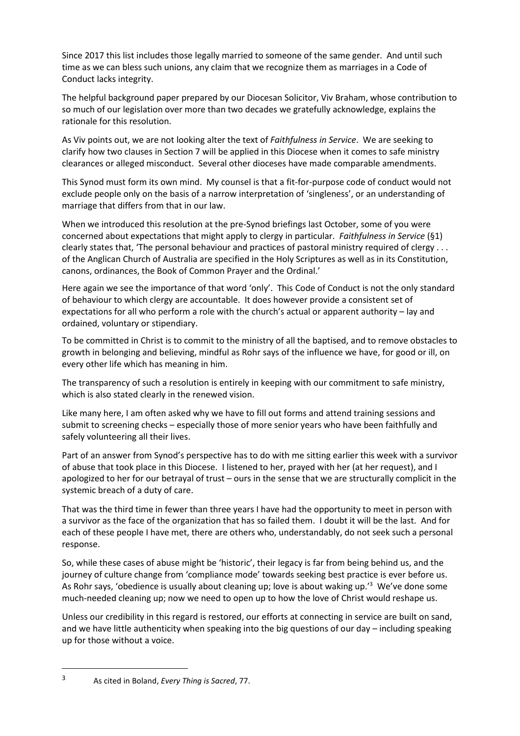Since 2017 this list includes those legally married to someone of the same gender. And until such time as we can bless such unions, any claim that we recognize them as marriages in a Code of Conduct lacks integrity.

The helpful background paper prepared by our Diocesan Solicitor, Viv Braham, whose contribution to so much of our legislation over more than two decades we gratefully acknowledge, explains the rationale for this resolution.

As Viv points out, we are not looking alter the text of *Faithfulness in Service*. We are seeking to clarify how two clauses in Section 7 will be applied in this Diocese when it comes to safe ministry clearances or alleged misconduct. Several other dioceses have made comparable amendments.

This Synod must form its own mind. My counsel is that a fit-for-purpose code of conduct would not exclude people only on the basis of a narrow interpretation of 'singleness', or an understanding of marriage that differs from that in our law.

When we introduced this resolution at the pre-Synod briefings last October, some of you were concerned about expectations that might apply to clergy in particular. *Faithfulness in Service* (§1) clearly states that, 'The personal behaviour and practices of pastoral ministry required of clergy . . . of the Anglican Church of Australia are specified in the Holy Scriptures as well as in its Constitution, canons, ordinances, the Book of Common Prayer and the Ordinal.'

Here again we see the importance of that word 'only'. This Code of Conduct is not the only standard of behaviour to which clergy are accountable. It does however provide a consistent set of expectations for all who perform a role with the church's actual or apparent authority – lay and ordained, voluntary or stipendiary.

To be committed in Christ is to commit to the ministry of all the baptised, and to remove obstacles to growth in belonging and believing, mindful as Rohr says of the influence we have, for good or ill, on every other life which has meaning in him.

The transparency of such a resolution is entirely in keeping with our commitment to safe ministry, which is also stated clearly in the renewed vision.

Like many here, I am often asked why we have to fill out forms and attend training sessions and submit to screening checks – especially those of more senior years who have been faithfully and safely volunteering all their lives.

Part of an answer from Synod's perspective has to do with me sitting earlier this week with a survivor of abuse that took place in this Diocese. I listened to her, prayed with her (at her request), and I apologized to her for our betrayal of trust – ours in the sense that we are structurally complicit in the systemic breach of a duty of care.

That was the third time in fewer than three years I have had the opportunity to meet in person with a survivor as the face of the organization that has so failed them. I doubt it will be the last. And for each of these people I have met, there are others who, understandably, do not seek such a personal response.

So, while these cases of abuse might be 'historic', their legacy is far from being behind us, and the journey of culture change from 'compliance mode' towards seeking best practice is ever before us. As Rohr says, 'obedience is usually about cleaning up; love is about waking up.'<sup>3</sup> We've done some much-needed cleaning up; now we need to open up to how the love of Christ would reshape us.

Unless our credibility in this regard is restored, our efforts at connecting in service are built on sand, and we have little authenticity when speaking into the big questions of our day – including speaking up for those without a voice.

<sup>3</sup> As cited in Boland, *Every Thing is Sacred*, 77.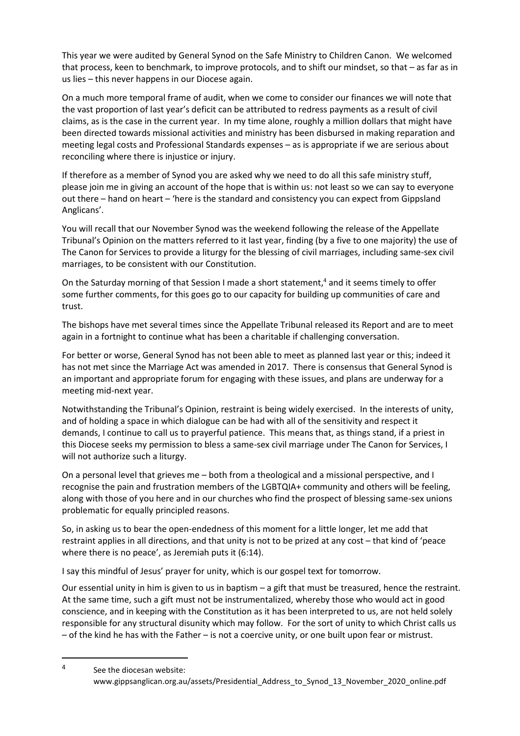This year we were audited by General Synod on the Safe Ministry to Children Canon. We welcomed that process, keen to benchmark, to improve protocols, and to shift our mindset, so that – as far as in us lies – this never happens in our Diocese again.

On a much more temporal frame of audit, when we come to consider our finances we will note that the vast proportion of last year's deficit can be attributed to redress payments as a result of civil claims, as is the case in the current year. In my time alone, roughly a million dollars that might have been directed towards missional activities and ministry has been disbursed in making reparation and meeting legal costs and Professional Standards expenses – as is appropriate if we are serious about reconciling where there is injustice or injury.

If therefore as a member of Synod you are asked why we need to do all this safe ministry stuff, please join me in giving an account of the hope that is within us: not least so we can say to everyone out there – hand on heart – 'here is the standard and consistency you can expect from Gippsland Anglicans'.

You will recall that our November Synod was the weekend following the release of the Appellate Tribunal's Opinion on the matters referred to it last year, finding (by a five to one majority) the use of The Canon for Services to provide a liturgy for the blessing of civil marriages, including same-sex civil marriages, to be consistent with our Constitution.

On the Saturday morning of that Session I made a short statement,<sup>4</sup> and it seems timely to offer some further comments, for this goes go to our capacity for building up communities of care and trust.

The bishops have met several times since the Appellate Tribunal released its Report and are to meet again in a fortnight to continue what has been a charitable if challenging conversation.

For better or worse, General Synod has not been able to meet as planned last year or this; indeed it has not met since the Marriage Act was amended in 2017. There is consensus that General Synod is an important and appropriate forum for engaging with these issues, and plans are underway for a meeting mid-next year.

Notwithstanding the Tribunal's Opinion, restraint is being widely exercised. In the interests of unity, and of holding a space in which dialogue can be had with all of the sensitivity and respect it demands, I continue to call us to prayerful patience. This means that, as things stand, if a priest in this Diocese seeks my permission to bless a same-sex civil marriage under The Canon for Services, I will not authorize such a liturgy.

On a personal level that grieves me – both from a theological and a missional perspective, and I recognise the pain and frustration members of the LGBTQIA+ community and others will be feeling, along with those of you here and in our churches who find the prospect of blessing same-sex unions problematic for equally principled reasons.

So, in asking us to bear the open-endedness of this moment for a little longer, let me add that restraint applies in all directions, and that unity is not to be prized at any cost – that kind of 'peace where there is no peace', as Jeremiah puts it (6:14).

I say this mindful of Jesus' prayer for unity, which is our gospel text for tomorrow.

Our essential unity in him is given to us in baptism – a gift that must be treasured, hence the restraint. At the same time, such a gift must not be instrumentalized, whereby those who would act in good conscience, and in keeping with the Constitution as it has been interpreted to us, are not held solely responsible for any structural disunity which may follow. For the sort of unity to which Christ calls us – of the kind he has with the Father – is not a coercive unity, or one built upon fear or mistrust.

4

See the diocesan website: www.gippsanglican.org.au/assets/Presidential\_Address\_to\_Synod\_13\_November\_2020\_online.pdf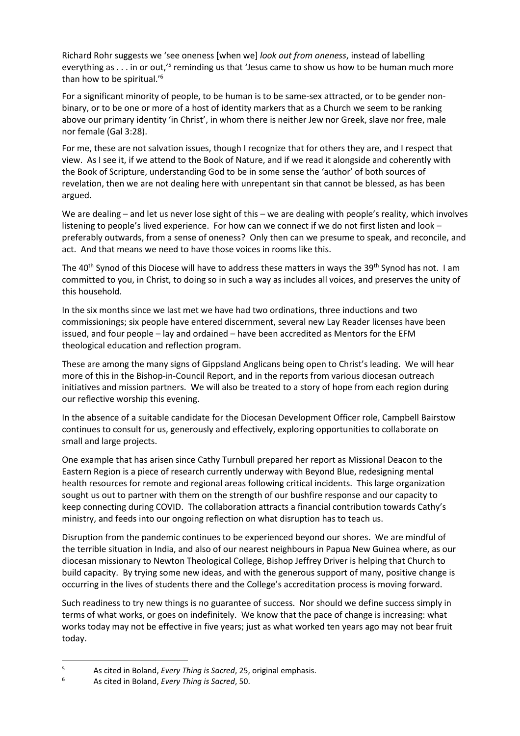Richard Rohr suggests we 'see oneness [when we] *look out from oneness*, instead of labelling everything as . . . in or out,<sup>15</sup> reminding us that 'Jesus came to show us how to be human much more than how to be spiritual.'<sup>6</sup>

For a significant minority of people, to be human is to be same-sex attracted, or to be gender nonbinary, or to be one or more of a host of identity markers that as a Church we seem to be ranking above our primary identity 'in Christ', in whom there is neither Jew nor Greek, slave nor free, male nor female (Gal 3:28).

For me, these are not salvation issues, though I recognize that for others they are, and I respect that view. As I see it, if we attend to the Book of Nature, and if we read it alongside and coherently with the Book of Scripture, understanding God to be in some sense the 'author' of both sources of revelation, then we are not dealing here with unrepentant sin that cannot be blessed, as has been argued.

We are dealing – and let us never lose sight of this – we are dealing with people's reality, which involves listening to people's lived experience. For how can we connect if we do not first listen and look – preferably outwards, from a sense of oneness? Only then can we presume to speak, and reconcile, and act. And that means we need to have those voices in rooms like this.

The 40<sup>th</sup> Synod of this Diocese will have to address these matters in ways the 39<sup>th</sup> Synod has not. I am committed to you, in Christ, to doing so in such a way as includes all voices, and preserves the unity of this household.

In the six months since we last met we have had two ordinations, three inductions and two commissionings; six people have entered discernment, several new Lay Reader licenses have been issued, and four people – lay and ordained – have been accredited as Mentors for the EFM theological education and reflection program.

These are among the many signs of Gippsland Anglicans being open to Christ's leading. We will hear more of this in the Bishop-in-Council Report, and in the reports from various diocesan outreach initiatives and mission partners. We will also be treated to a story of hope from each region during our reflective worship this evening.

In the absence of a suitable candidate for the Diocesan Development Officer role, Campbell Bairstow continues to consult for us, generously and effectively, exploring opportunities to collaborate on small and large projects.

One example that has arisen since Cathy Turnbull prepared her report as Missional Deacon to the Eastern Region is a piece of research currently underway with Beyond Blue, redesigning mental health resources for remote and regional areas following critical incidents. This large organization sought us out to partner with them on the strength of our bushfire response and our capacity to keep connecting during COVID. The collaboration attracts a financial contribution towards Cathy's ministry, and feeds into our ongoing reflection on what disruption has to teach us.

Disruption from the pandemic continues to be experienced beyond our shores. We are mindful of the terrible situation in India, and also of our nearest neighbours in Papua New Guinea where, as our diocesan missionary to Newton Theological College, Bishop Jeffrey Driver is helping that Church to build capacity. By trying some new ideas, and with the generous support of many, positive change is occurring in the lives of students there and the College's accreditation process is moving forward.

Such readiness to try new things is no guarantee of success. Nor should we define success simply in terms of what works, or goes on indefinitely. We know that the pace of change is increasing: what works today may not be effective in five years; just as what worked ten years ago may not bear fruit today.

<sup>&</sup>lt;sup>5</sup> As cited in Boland, *Every Thing is Sacred*, 25, original emphasis.<br><sup>6</sup> As cited in Boland, *Every Thing is Sacred*, 50

<sup>6</sup> As cited in Boland, *Every Thing is Sacred*, 50.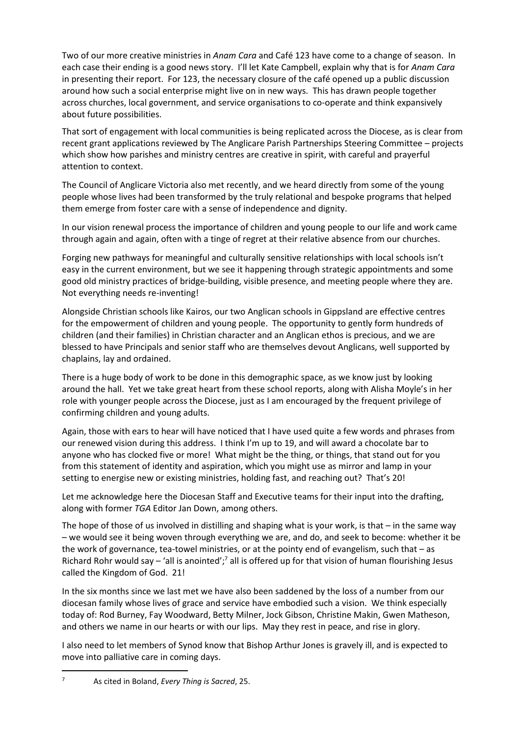Two of our more creative ministries in *Anam Cara* and Café 123 have come to a change of season. In each case their ending is a good news story. I'll let Kate Campbell, explain why that is for *Anam Cara* in presenting their report. For 123, the necessary closure of the café opened up a public discussion around how such a social enterprise might live on in new ways. This has drawn people together across churches, local government, and service organisations to co-operate and think expansively about future possibilities.

That sort of engagement with local communities is being replicated across the Diocese, as is clear from recent grant applications reviewed by The Anglicare Parish Partnerships Steering Committee – projects which show how parishes and ministry centres are creative in spirit, with careful and prayerful attention to context.

The Council of Anglicare Victoria also met recently, and we heard directly from some of the young people whose lives had been transformed by the truly relational and bespoke programs that helped them emerge from foster care with a sense of independence and dignity.

In our vision renewal process the importance of children and young people to our life and work came through again and again, often with a tinge of regret at their relative absence from our churches.

Forging new pathways for meaningful and culturally sensitive relationships with local schools isn't easy in the current environment, but we see it happening through strategic appointments and some good old ministry practices of bridge-building, visible presence, and meeting people where they are. Not everything needs re-inventing!

Alongside Christian schools like Kairos, our two Anglican schools in Gippsland are effective centres for the empowerment of children and young people. The opportunity to gently form hundreds of children (and their families) in Christian character and an Anglican ethos is precious, and we are blessed to have Principals and senior staff who are themselves devout Anglicans, well supported by chaplains, lay and ordained.

There is a huge body of work to be done in this demographic space, as we know just by looking around the hall. Yet we take great heart from these school reports, along with Alisha Moyle's in her role with younger people across the Diocese, just as I am encouraged by the frequent privilege of confirming children and young adults.

Again, those with ears to hear will have noticed that I have used quite a few words and phrases from our renewed vision during this address. I think I'm up to 19, and will award a chocolate bar to anyone who has clocked five or more! What might be the thing, or things, that stand out for you from this statement of identity and aspiration, which you might use as mirror and lamp in your setting to energise new or existing ministries, holding fast, and reaching out? That's 20!

Let me acknowledge here the Diocesan Staff and Executive teams for their input into the drafting, along with former *TGA* Editor Jan Down, among others.

The hope of those of us involved in distilling and shaping what is your work, is that – in the same way – we would see it being woven through everything we are, and do, and seek to become: whether it be the work of governance, tea-towel ministries, or at the pointy end of evangelism, such that – as Richard Rohr would say  $-$  'all is anointed';<sup>7</sup> all is offered up for that vision of human flourishing Jesus called the Kingdom of God. 21!

In the six months since we last met we have also been saddened by the loss of a number from our diocesan family whose lives of grace and service have embodied such a vision. We think especially today of: Rod Burney, Fay Woodward, Betty Milner, Jock Gibson, Christine Makin, Gwen Matheson, and others we name in our hearts or with our lips. May they rest in peace, and rise in glory.

I also need to let members of Synod know that Bishop Arthur Jones is gravely ill, and is expected to move into palliative care in coming days.

<sup>7</sup> As cited in Boland, *Every Thing is Sacred*, 25.